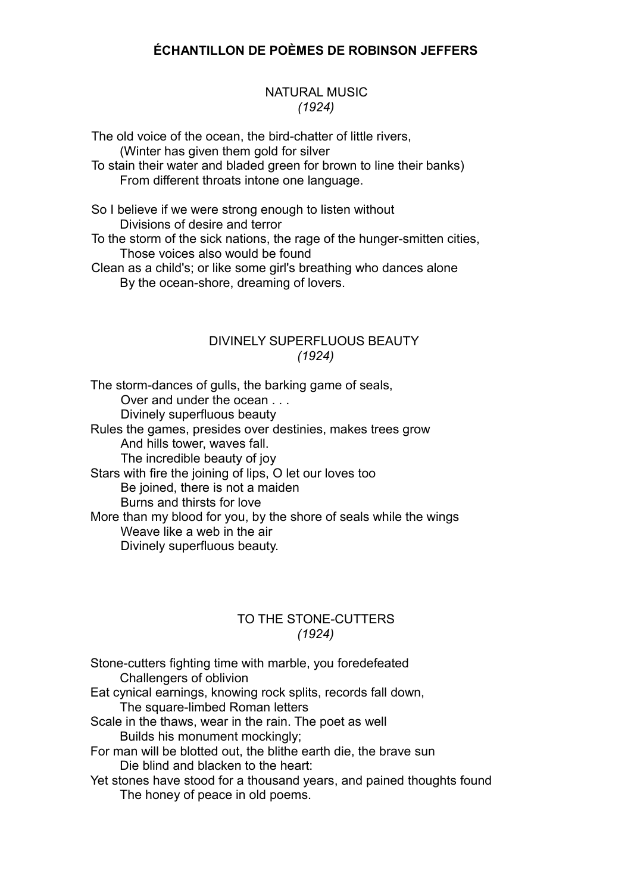# **ÉCHANTILLON DE POÈMES DE ROBINSON JEFFERS**

## NATURAL MUSIC *(1924)*

The old voice of the ocean, the bird-chatter of little rivers, (Winter has given them gold for silver

- To stain their water and bladed green for brown to line their banks) From different throats intone one language.
- So I believe if we were strong enough to listen without Divisions of desire and terror

To the storm of the sick nations, the rage of the hunger-smitten cities, Those voices also would be found

Clean as a child's; or like some girl's breathing who dances alone By the ocean-shore, dreaming of lovers.

## DIVINELY SUPERFLUOUS BEAUTY *(1924)*

The storm-dances of gulls, the barking game of seals, Over and under the ocean . . . Divinely superfluous beauty Rules the games, presides over destinies, makes trees grow And hills tower, waves fall. The incredible beauty of joy Stars with fire the joining of lips, O let our loves too Be joined, there is not a maiden Burns and thirsts for love More than my blood for you, by the shore of seals while the wings Weave like a web in the air

Divinely superfluous beauty.

### TO THE STONE-CUTTERS *(1924)*

Stone-cutters fighting time with marble, you foredefeated Challengers of oblivion Eat cynical earnings, knowing rock splits, records fall down,

The square-limbed Roman letters

- Scale in the thaws, wear in the rain. The poet as well Builds his monument mockingly;
- For man will be blotted out, the blithe earth die, the brave sun Die blind and blacken to the heart:
- Yet stones have stood for a thousand years, and pained thoughts found The honey of peace in old poems.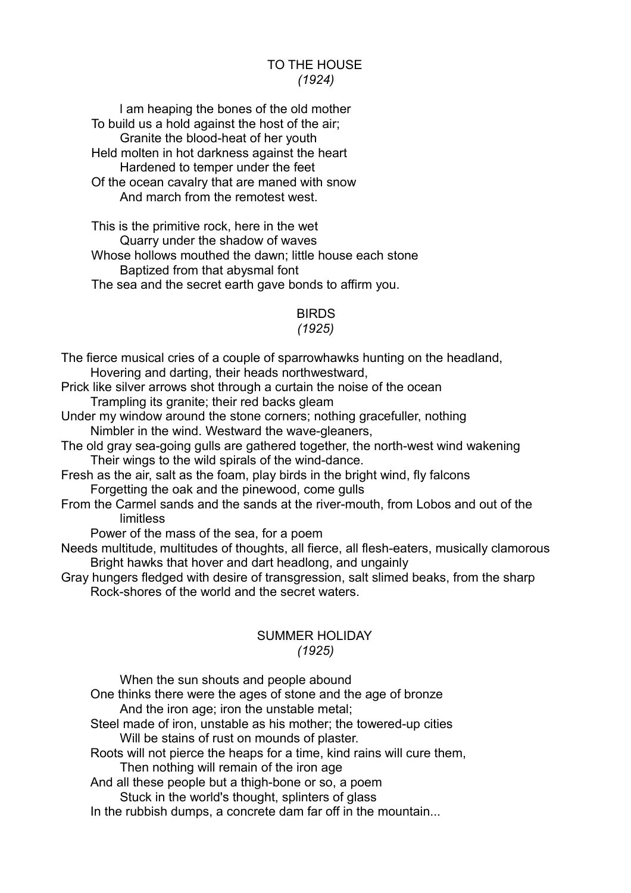# TO THE HOUSE *(1924)*

l am heaping the bones of the old mother To build us a hold against the host of the air; Granite the blood-heat of her youth Held molten in hot darkness against the heart Hardened to temper under the feet Of the ocean cavalry that are maned with snow And march from the remotest west.

This is the primitive rock, here in the wet Quarry under the shadow of waves Whose hollows mouthed the dawn; little house each stone Baptized from that abysmal font The sea and the secret earth gave bonds to affirm you.

# BIRDS *(1925)*

The fierce musical cries of a couple of sparrowhawks hunting on the headland, Hovering and darting, their heads northwestward,

Prick like silver arrows shot through a curtain the noise of the ocean Trampling its granite; their red backs gleam

Under my window around the stone corners; nothing gracefuller, nothing Nimbler in the wind. Westward the wave-gleaners,

The old gray sea-going gulls are gathered together, the north-west wind wakening Their wings to the wild spirals of the wind-dance.

Fresh as the air, salt as the foam, play birds in the bright wind, fly falcons Forgetting the oak and the pinewood, come gulls

From the Carmel sands and the sands at the river-mouth, from Lobos and out of the **limitless** 

Power of the mass of the sea, for a poem

Needs multitude, multitudes of thoughts, all fierce, all flesh-eaters, musically clamorous Bright hawks that hover and dart headlong, and ungainly

Gray hungers fledged with desire of transgression, salt slimed beaks, from the sharp Rock-shores of the world and the secret waters.

## SUMMER HOLIDAY *(1925)*

When the sun shouts and people abound

One thinks there were the ages of stone and the age of bronze And the iron age; iron the unstable metal;

Steel made of iron, unstable as his mother; the towered-up cities Will be stains of rust on mounds of plaster.

Roots will not pierce the heaps for a time, kind rains will cure them,

Then nothing will remain of the iron age

And all these people but a thigh-bone or so, a poem

Stuck in the world's thought, splinters of glass

In the rubbish dumps, a concrete dam far off in the mountain...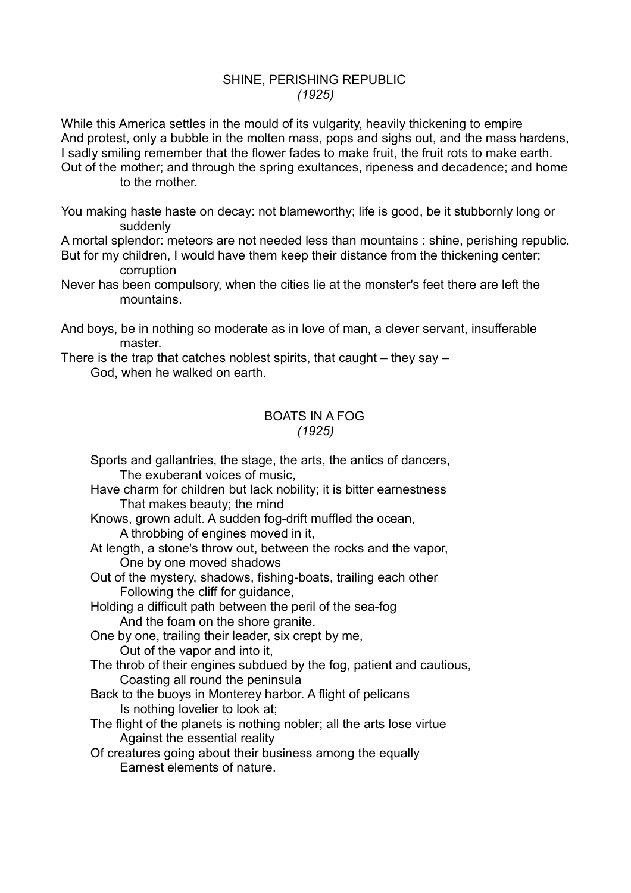### SHINE, PERISHING REPUBLIC *(1925)*

While this America settles in the mould of its vulgarity, heavily thickening to empire And protest, only a bubble in the molten mass, pops and sighs out, and the mass hardens, I sadly smiling remember that the flower fades to make fruit, the fruit rots to make earth. Out of the mother; and through the spring exultances, ripeness and decadence; and home to the mother.

You making haste haste on decay: not blameworthy; life is good, be it stubbornly long or suddenly

A mortal splendor: meteors are not needed less than mountains : shine, perishing republic.

- But for my children, I would have them keep their distance from the thickening center; corruption
- Never has been compulsory, when the cities lie at the monster's feet there are left the mountains.

And boys, be in nothing so moderate as in love of man, a clever servant, insufferable master.

There is the trap that catches noblest spirits, that caught  $-$  they say  $-$ God, when he walked on earth.

# BOATS IN A FOG *(1925)*

Sports and gallantries, the stage, the arts, the antics of dancers, The exuberant voices of music, Have charm for children but lack nobility; it is bitter earnestness That makes beauty; the mind Knows, grown adult. A sudden fog-drift muffled the ocean, A throbbing of engines moved in it, At length, a stone's throw out, between the rocks and the vapor, One by one moved shadows Out of the mystery, shadows, fishing-boats, trailing each other Following the cliff for guidance, Holding a difficult path between the peril of the sea-fog And the foam on the shore granite. One by one, trailing their leader, six crept by me, Out of the vapor and into it, The throb of their engines subdued by the fog, patient and cautious, Coasting all round the peninsula Back to the buoys in Monterey harbor. A flight of pelicans Is nothing lovelier to look at; The flight of the planets is nothing nobler; all the arts lose virtue Against the essential reality Of creatures going about their business among the equally Earnest elements of nature.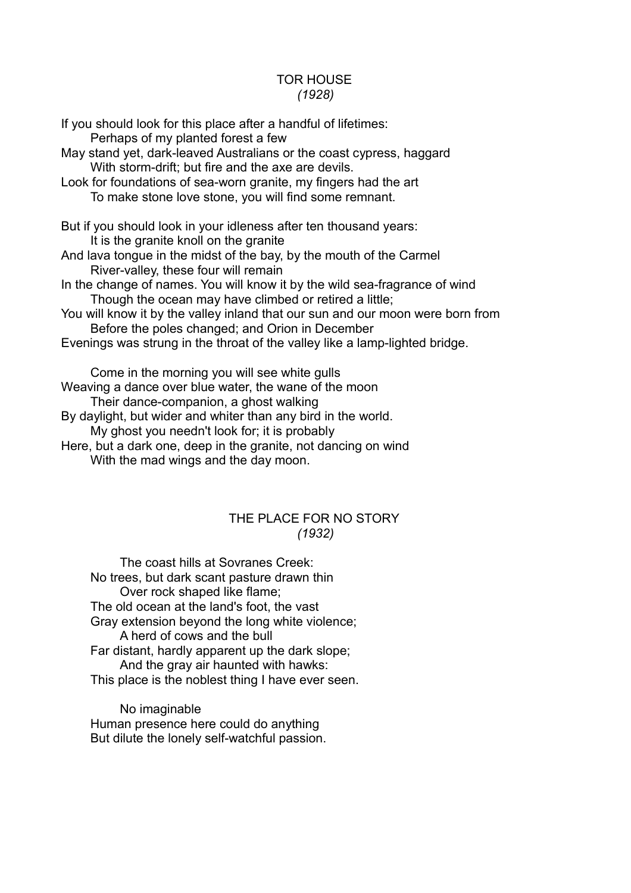## TOR HOUSE *(1928)*

If you should look for this place after a handful of lifetimes: Perhaps of my planted forest a few May stand yet, dark-leaved Australians or the coast cypress, haggard With storm-drift; but fire and the axe are devils. Look for foundations of sea-worn granite, my fingers had the art To make stone love stone, you will find some remnant. But if you should look in your idleness after ten thousand years: It is the granite knoll on the granite And lava tongue in the midst of the bay, by the mouth of the Carmel River-valley, these four will remain In the change of names. You will know it by the wild sea-fragrance of wind Though the ocean may have climbed or retired a little; You will know it by the valley inland that our sun and our moon were born from Before the poles changed; and Orion in December Evenings was strung in the throat of the valley like a lamp-lighted bridge. Come in the morning you will see white gulls Weaving a dance over blue water, the wane of the moon Their dance-companion, a ghost walking By daylight, but wider and whiter than any bird in the world. My ghost you needn't look for; it is probably

Here, but a dark one, deep in the granite, not dancing on wind With the mad wings and the day moon.

# THE PLACE FOR NO STORY *(1932)*

The coast hills at Sovranes Creek: No trees, but dark scant pasture drawn thin Over rock shaped like flame; The old ocean at the land's foot, the vast Gray extension beyond the long white violence; A herd of cows and the bull Far distant, hardly apparent up the dark slope; And the gray air haunted with hawks: This place is the noblest thing I have ever seen.

No imaginable Human presence here could do anything But dilute the lonely self-watchful passion.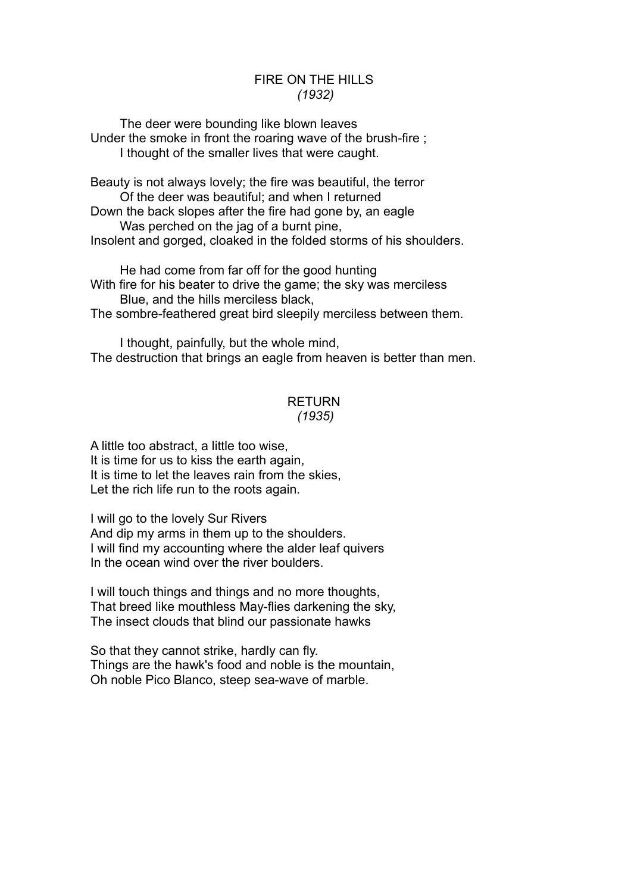#### FIRE ON THE HILLS *(1932)*

The deer were bounding like blown leaves Under the smoke in front the roaring wave of the brush-fire ; I thought of the smaller lives that were caught.

Beauty is not always lovely; the fire was beautiful, the terror Of the deer was beautiful; and when I returned

Down the back slopes after the fire had gone by, an eagle Was perched on the jag of a burnt pine,

Insolent and gorged, cloaked in the folded storms of his shoulders.

He had come from far off for the good hunting With fire for his beater to drive the game; the sky was merciless Blue, and the hills merciless black, The sombre-feathered great bird sleepily merciless between them.

I thought, painfully, but the whole mind, The destruction that brings an eagle from heaven is better than men.

#### **RETURN** *(1935)*

A little too abstract, a little too wise, It is time for us to kiss the earth again, It is time to let the leaves rain from the skies, Let the rich life run to the roots again.

I will go to the lovely Sur Rivers And dip my arms in them up to the shoulders. I will find my accounting where the alder leaf quivers In the ocean wind over the river boulders.

I will touch things and things and no more thoughts, That breed like mouthless May-flies darkening the sky, The insect clouds that blind our passionate hawks

So that they cannot strike, hardly can fly. Things are the hawk's food and noble is the mountain, Oh noble Pico Blanco, steep sea-wave of marble.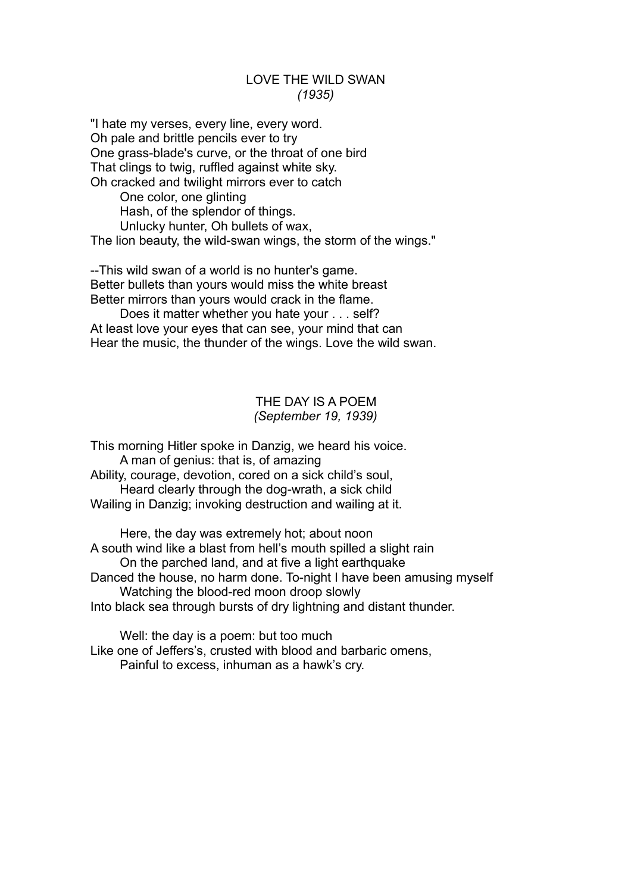#### LOVE THE WILD SWAN *(1935)*

"I hate my verses, every line, every word. Oh pale and brittle pencils ever to try One grass-blade's curve, or the throat of one bird That clings to twig, ruffled against white sky. Oh cracked and twilight mirrors ever to catch One color, one glinting Hash, of the splendor of things. Unlucky hunter, Oh bullets of wax, The lion beauty, the wild-swan wings, the storm of the wings."

--This wild swan of a world is no hunter's game. Better bullets than yours would miss the white breast Better mirrors than yours would crack in the flame.

Does it matter whether you hate your . . . self? At least love your eyes that can see, your mind that can Hear the music, the thunder of the wings. Love the wild swan.

> THE DAY IS A POEM *(September 19, 1939)*

This morning Hitler spoke in Danzig, we heard his voice. A man of genius: that is, of amazing

Ability, courage, devotion, cored on a sick child's soul, Heard clearly through the dog-wrath, a sick child Wailing in Danzig; invoking destruction and wailing at it.

Here, the day was extremely hot; about noon A south wind like a blast from hell's mouth spilled a slight rain On the parched land, and at five a light earthquake Danced the house, no harm done. To-night I have been amusing myself Watching the blood-red moon droop slowly Into black sea through bursts of dry lightning and distant thunder.

Well: the day is a poem: but too much Like one of Jeffers's, crusted with blood and barbaric omens, Painful to excess, inhuman as a hawk's cry.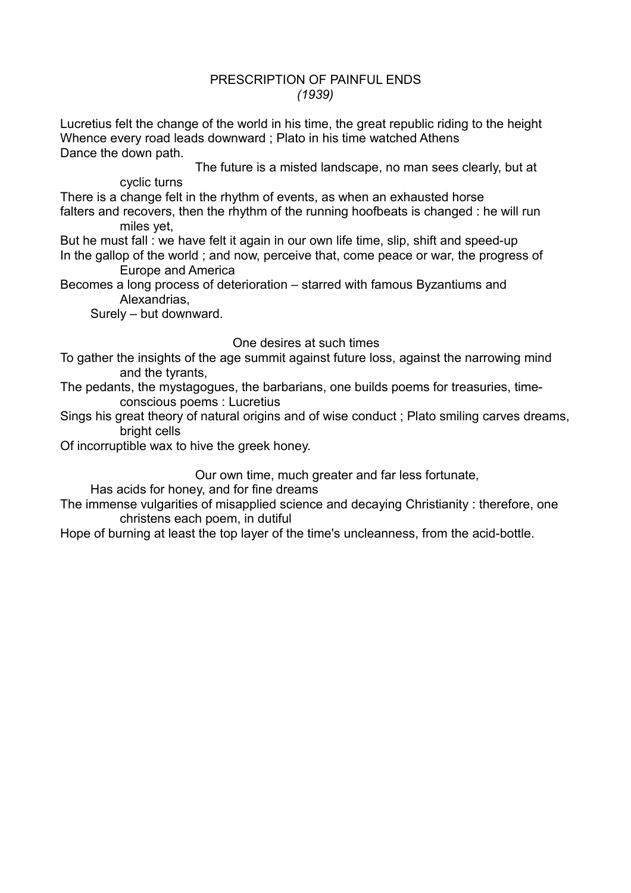#### PRESCRIPTION OF PAINFUL ENDS *(1939)*

Lucretius felt the change of the world in his time, the great republic riding to the height Whence every road leads downward ; Plato in his time watched Athens Dance the down path.

The future is a misted landscape, no man sees clearly, but at cyclic turns

There is a change felt in the rhythm of events, as when an exhausted horse falters and recovers, then the rhythm of the running hoofbeats is changed : he will run miles yet,

But he must fall : we have felt it again in our own life time, slip, shift and speed-up In the gallop of the world ; and now, perceive that, come peace or war, the progress of

Europe and America

Becomes a long process of deterioration – starred with famous Byzantiums and Alexandrias,

Surely – but downward.

## One desires at such times

To gather the insights of the age summit against future loss, against the narrowing mind and the tyrants,

The pedants, the mystagogues, the barbarians, one builds poems for treasuries, timeconscious poems : Lucretius

Sings his great theory of natural origins and of wise conduct ; Plato smiling carves dreams, bright cells

Of incorruptible wax to hive the greek honey.

Our own time, much greater and far less fortunate,

Has acids for honey, and for fine dreams

The immense vulgarities of misapplied science and decaying Christianity : therefore, one christens each poem, in dutiful

Hope of burning at least the top layer of the time's uncleanness, from the acid-bottle.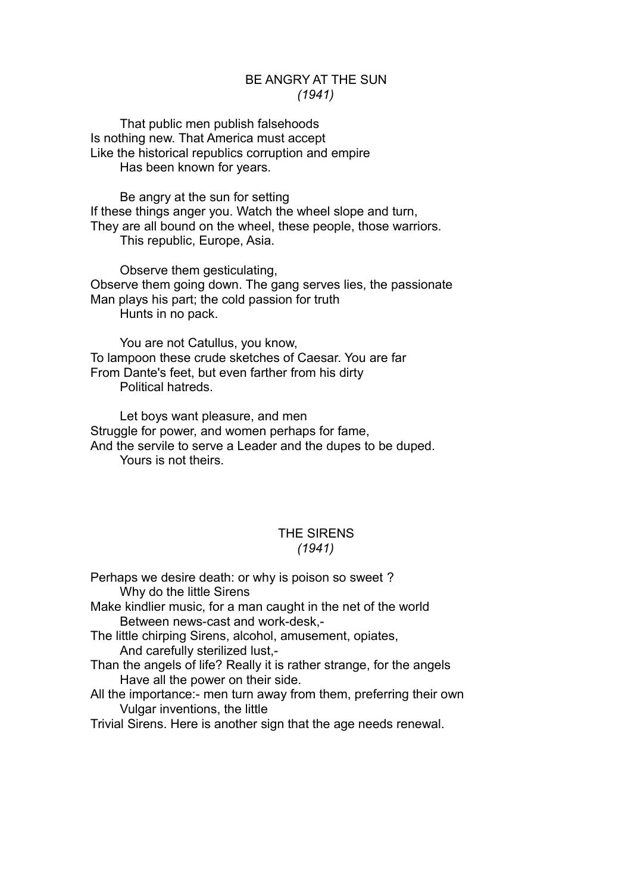#### BE ANGRY AT THE SUN *(1941)*

That public men publish falsehoods Is nothing new. That America must accept Like the historical republics corruption and empire Has been known for years.

Be angry at the sun for setting If these things anger you. Watch the wheel slope and turn, They are all bound on the wheel, these people, those warriors. This republic, Europe, Asia.

Observe them gesticulating, Observe them going down. The gang serves lies, the passionate Man plays his part; the cold passion for truth Hunts in no pack.

You are not Catullus, you know, To lampoon these crude sketches of Caesar. You are far From Dante's feet, but even farther from his dirty Political hatreds.

Let boys want pleasure, and men Struggle for power, and women perhaps for fame, And the servile to serve a Leader and the dupes to be duped. Yours is not theirs.

#### THE SIRENS *(1941)*

- Perhaps we desire death: or why is poison so sweet ? Why do the little Sirens
- Make kindlier music, for a man caught in the net of the world Between news-cast and work-desk,-
- The little chirping Sirens, alcohol, amusement, opiates, And carefully sterilized lust,-

Than the angels of life? Really it is rather strange, for the angels Have all the power on their side.

All the importance:- men turn away from them, preferring their own Vulgar inventions, the little

Trivial Sirens. Here is another sign that the age needs renewal.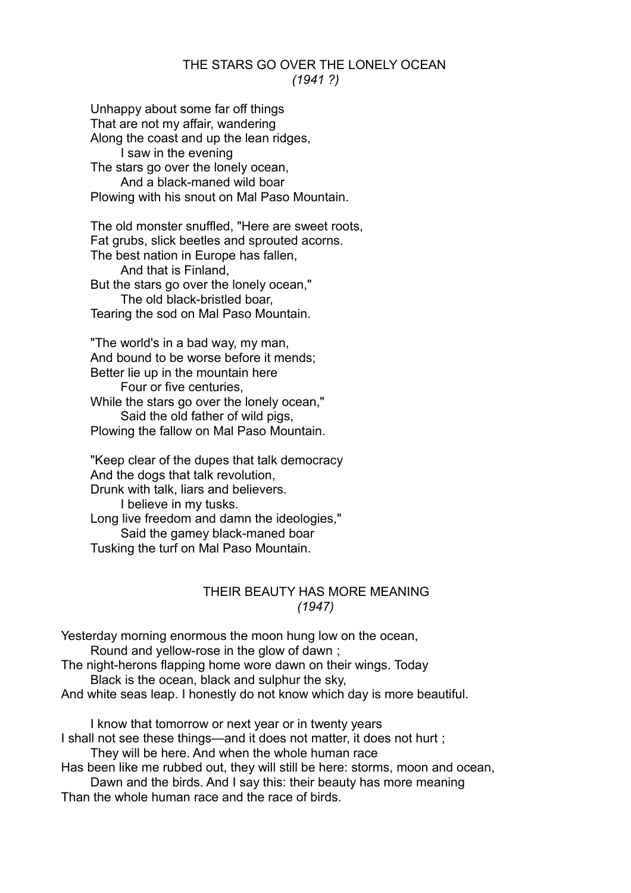#### THE STARS GO OVER THE LONELY OCEAN *(1941 ?)*

Unhappy about some far off things That are not my affair, wandering Along the coast and up the lean ridges, I saw in the evening The stars go over the lonely ocean, And a black-maned wild boar Plowing with his snout on Mal Paso Mountain.

The old monster snuffled, "Here are sweet roots, Fat grubs, slick beetles and sprouted acorns. The best nation in Europe has fallen, And that is Finland, But the stars go over the lonely ocean," The old black-bristled boar, Tearing the sod on Mal Paso Mountain.

"The world's in a bad way, my man, And bound to be worse before it mends; Better lie up in the mountain here Four or five centuries, While the stars go over the lonely ocean," Said the old father of wild pigs, Plowing the fallow on Mal Paso Mountain.

"Keep clear of the dupes that talk democracy And the dogs that talk revolution, Drunk with talk, liars and believers. I believe in my tusks. Long live freedom and damn the ideologies," Said the gamey black-maned boar Tusking the turf on Mal Paso Mountain.

### THEIR BEAUTY HAS MORE MEANING *(1947)*

Yesterday morning enormous the moon hung low on the ocean, Round and yellow-rose in the glow of dawn ; The night-herons flapping home wore dawn on their wings. Today Black is the ocean, black and sulphur the sky,

And white seas leap. I honestly do not know which day is more beautiful.

I know that tomorrow or next year or in twenty years I shall not see these things—and it does not matter, it does not hurt; They will be here. And when the whole human race

Has been like me rubbed out, they will still be here: storms, moon and ocean, Dawn and the birds. And I say this: their beauty has more meaning

Than the whole human race and the race of birds.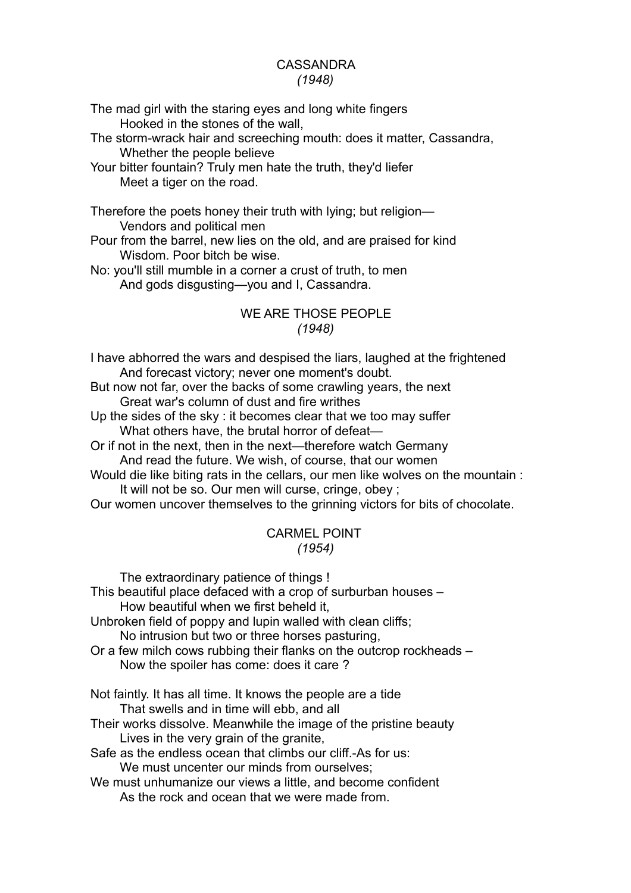#### CASSANDRA *(1948)*

- The mad girl with the staring eyes and long white fingers Hooked in the stones of the wall,
- The storm-wrack hair and screeching mouth: does it matter, Cassandra, Whether the people believe
- Your bitter fountain? Truly men hate the truth, they'd liefer Meet a tiger on the road.
- Therefore the poets honey their truth with lying; but religion— Vendors and political men
- Pour from the barrel, new lies on the old, and are praised for kind Wisdom. Poor bitch be wise.
- No: you'll still mumble in a corner a crust of truth, to men And gods disgusting—you and I, Cassandra.

# WE ARE THOSE PEOPLE *(1948)*

I have abhorred the wars and despised the liars, laughed at the frightened And forecast victory; never one moment's doubt.

But now not far, over the backs of some crawling years, the next Great war's column of dust and fire writhes

Up the sides of the sky : it becomes clear that we too may suffer What others have, the brutal horror of defeat—

Or if not in the next, then in the next—therefore watch Germany And read the future. We wish, of course, that our women

Would die like biting rats in the cellars, our men like wolves on the mountain : It will not be so. Our men will curse, cringe, obey ;

Our women uncover themselves to the grinning victors for bits of chocolate.

## CARMEL POINT *(1954)*

The extraordinary patience of things !

- This beautiful place defaced with a crop of surburban houses How beautiful when we first beheld it,
- Unbroken field of poppy and lupin walled with clean cliffs; No intrusion but two or three horses pasturing,
- Or a few milch cows rubbing their flanks on the outcrop rockheads Now the spoiler has come: does it care ?
- Not faintly. It has all time. It knows the people are a tide That swells and in time will ebb, and all
- Their works dissolve. Meanwhile the image of the pristine beauty Lives in the very grain of the granite,

Safe as the endless ocean that climbs our cliff.-As for us: We must uncenter our minds from ourselves:

We must unhumanize our views a little, and become confident As the rock and ocean that we were made from.